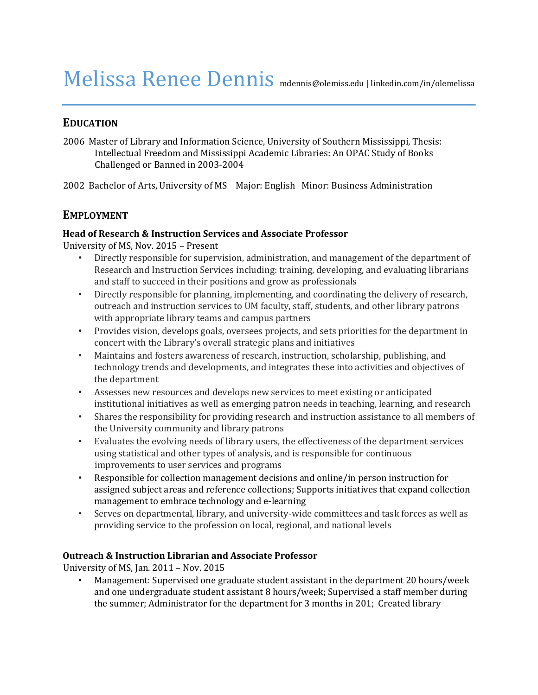# Melissa Renee Dennis mdennis@olemiss.edu | linkedin.com/in/olemelissa

# **EDUCATION**

2006 Master of Library and Information Science, University of Southern Mississippi, Thesis: Intellectual Freedom and Mississippi Academic Libraries: An OPAC Study of Books Challenged or Banned in 2003-2004

2002 Bachelor of Arts, University of MS Major: English Minor: Business Administration

# **EMPLOYMENT**

## **Head of Research & Instruction Services and Associate Professor**

University of MS, Nov. 2015 – Present

- Directly responsible for supervision, administration, and management of the department of Research and Instruction Services including: training, developing, and evaluating librarians and staff to succeed in their positions and grow as professionals
- Directly responsible for planning, implementing, and coordinating the delivery of research, outreach and instruction services to UM faculty, staff, students, and other library patrons with appropriate library teams and campus partners
- Provides vision, develops goals, oversees projects, and sets priorities for the department in concert with the Library's overall strategic plans and initiatives
- Maintains and fosters awareness of research, instruction, scholarship, publishing, and technology trends and developments, and integrates these into activities and objectives of the department
- Assesses new resources and develops new services to meet existing or anticipated institutional initiatives as well as emerging patron needs in teaching, learning, and research
- Shares the responsibility for providing research and instruction assistance to all members of the University community and library patrons
- Evaluates the evolving needs of library users, the effectiveness of the department services using statistical and other types of analysis, and is responsible for continuous improvements to user services and programs
- Responsible for collection management decisions and online/in person instruction for assigned subject areas and reference collections; Supports initiatives that expand collection management to embrace technology and e-learning
- Serves on departmental, library, and university-wide committees and task forces as well as providing service to the profession on local, regional, and national levels

## **Outreach & Instruction Librarian and Associate Professor**

University of MS, Jan. 2011 – Nov. 2015

• Management: Supervised one graduate student assistant in the department 20 hours/week and one undergraduate student assistant 8 hours/week; Supervised a staff member during the summer; Administrator for the department for 3 months in 201; Created library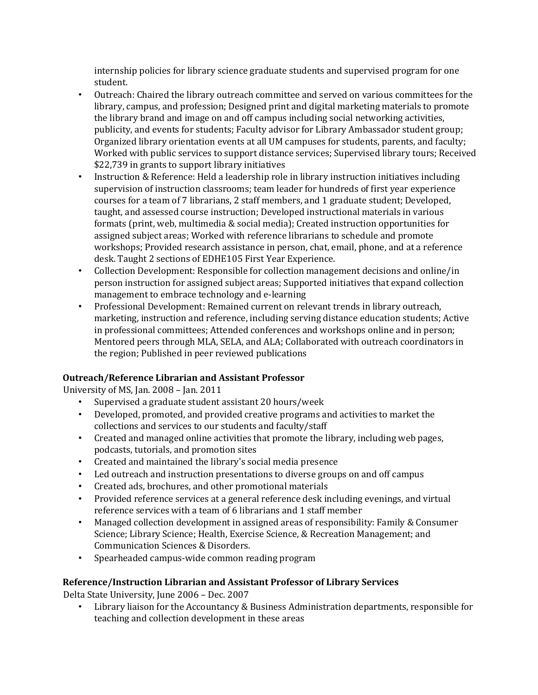internship policies for library science graduate students and supervised program for one student.

- Outreach: Chaired the library outreach committee and served on various committees for the library, campus, and profession; Designed print and digital marketing materials to promote the library brand and image on and off campus including social networking activities, publicity, and events for students; Faculty advisor for Library Ambassador student group; Organized library orientation events at all UM campuses for students, parents, and faculty; Worked with public services to support distance services; Supervised library tours; Received \$22,739 in grants to support library initiatives
- Instruction & Reference: Held a leadership role in library instruction initiatives including supervision of instruction classrooms; team leader for hundreds of first year experience courses for a team of 7 librarians, 2 staff members, and 1 graduate student; Developed, taught, and assessed course instruction; Developed instructional materials in various formats (print, web, multimedia & social media); Created instruction opportunities for assigned subject areas; Worked with reference librarians to schedule and promote workshops; Provided research assistance in person, chat, email, phone, and at a reference desk. Taught 2 sections of EDHE105 First Year Experience.
- Collection Development: Responsible for collection management decisions and online/in person instruction for assigned subject areas; Supported initiatives that expand collection management to embrace technology and e-learning
- Professional Development: Remained current on relevant trends in library outreach, marketing, instruction and reference, including serving distance education students; Active in professional committees; Attended conferences and workshops online and in person; Mentored peers through MLA, SELA, and ALA; Collaborated with outreach coordinators in the region; Published in peer reviewed publications

## **Outreach/Reference Librarian and Assistant Professor**

University of MS, Jan. 2008 – Jan. 2011

- Supervised a graduate student assistant 20 hours/week
- Developed, promoted, and provided creative programs and activities to market the collections and services to our students and faculty/staff
- Created and managed online activities that promote the library, including web pages, podcasts, tutorials, and promotion sites
- Created and maintained the library's social media presence
- Led outreach and instruction presentations to diverse groups on and off campus
- Created ads, brochures, and other promotional materials
- Provided reference services at a general reference desk including evenings, and virtual reference services with a team of 6 librarians and 1 staff member
- Managed collection development in assigned areas of responsibility: Family & Consumer Science; Library Science; Health, Exercise Science, & Recreation Management; and Communication Sciences & Disorders.
- Spearheaded campus-wide common reading program

## **Reference/Instruction Librarian and Assistant Professor of Library Services**

Delta State University, June 2006 – Dec. 2007

• Library liaison for the Accountancy & Business Administration departments, responsible for teaching and collection development in these areas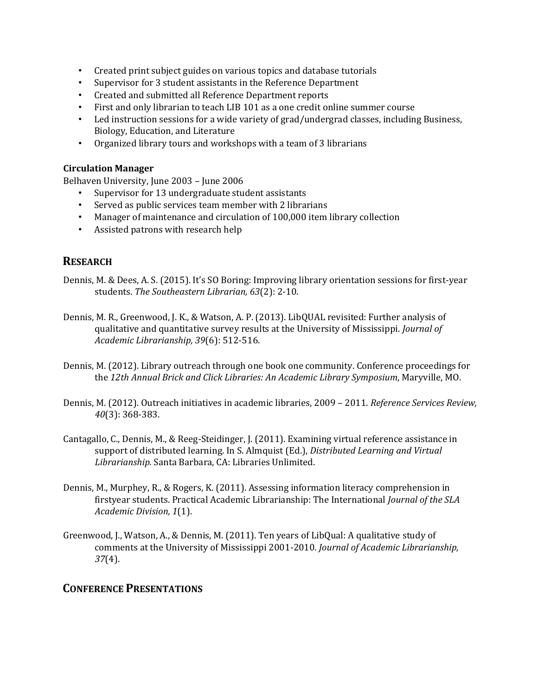- Created print subject guides on various topics and database tutorials
- Supervisor for 3 student assistants in the Reference Department
- Created and submitted all Reference Department reports
- First and only librarian to teach LIB 101 as a one credit online summer course
- Led instruction sessions for a wide variety of grad/undergrad classes, including Business, Biology, Education, and Literature
- Organized library tours and workshops with a team of 3 librarians

## **Circulation Manager**

Belhaven University, June 2003 – June 2006

- Supervisor for 13 undergraduate student assistants
- Served as public services team member with 2 librarians
- Manager of maintenance and circulation of 100,000 item library collection
- Assisted patrons with research help

# **RESEARCH**

- Dennis, M. & Dees, A. S. (2015). It's SO Boring: Improving library orientation sessions for first-year students. *The Southeastern Librarian, 63*(2): 2-10.
- Dennis, M. R., Greenwood, J. K., & Watson, A. P. (2013). LibQUAL revisited: Further analysis of qualitative and quantitative survey results at the University of Mississippi. *Journal of Academic Librarianship, 39*(6): 512-516.
- Dennis, M. (2012). Library outreach through one book one community. Conference proceedings for the *12th Annual Brick and Click Libraries: An Academic Library Symposium*, Maryville, MO.
- Dennis, M. (2012). Outreach initiatives in academic libraries, 2009 2011. *Reference Services Review, 40*(3): 368-383.
- Cantagallo, C., Dennis, M., & Reeg-Steidinger, J. (2011). Examining virtual reference assistance in support of distributed learning. In S. Almquist (Ed.), *Distributed Learning and Virtual Librarianship.* Santa Barbara, CA: Libraries Unlimited.
- Dennis, M., Murphey, R., & Rogers, K. (2011). Assessing information literacy comprehension in firstyear students. Practical Academic Librarianship: The International *Journal of the SLA Academic Division, 1*(1).
- Greenwood, J., Watson, A., & Dennis, M. (2011). Ten years of LibQual: A qualitative study of comments at the University of Mississippi 2001-2010. *Journal of Academic Librarianship, 37*(4).

# **CONFERENCE PRESENTATIONS**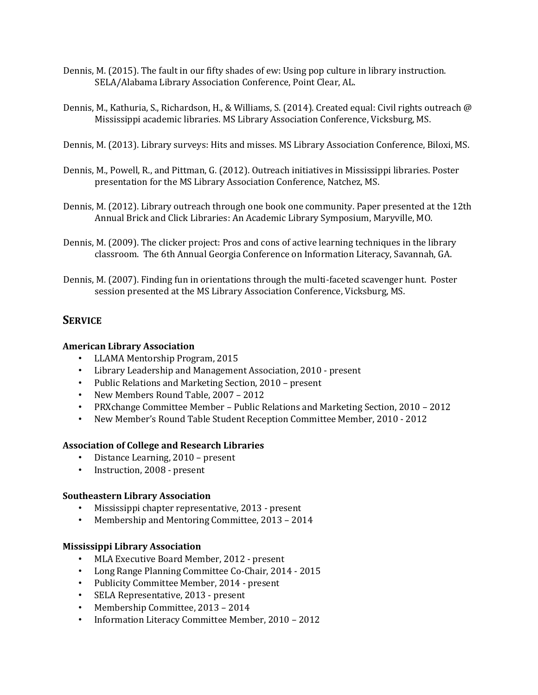- Dennis, M. (2015). The fault in our fifty shades of ew: Using pop culture in library instruction. SELA/Alabama Library Association Conference, Point Clear, AL.
- Dennis, M., Kathuria, S., Richardson, H., & Williams, S. (2014). Created equal: Civil rights outreach @ Mississippi academic libraries. MS Library Association Conference, Vicksburg, MS.
- Dennis, M. (2013). Library surveys: Hits and misses. MS Library Association Conference, Biloxi, MS.
- Dennis, M., Powell, R., and Pittman, G. (2012). Outreach initiatives in Mississippi libraries. Poster presentation for the MS Library Association Conference, Natchez, MS.
- Dennis, M. (2012). Library outreach through one book one community. Paper presented at the 12th Annual Brick and Click Libraries: An Academic Library Symposium, Maryville, MO.
- Dennis, M. (2009). The clicker project: Pros and cons of active learning techniques in the library classroom. The 6th Annual Georgia Conference on Information Literacy, Savannah, GA.
- Dennis, M. (2007). Finding fun in orientations through the multi-faceted scavenger hunt. Poster session presented at the MS Library Association Conference, Vicksburg, MS.

# **SERVICE**

#### **American Library Association**

- LLAMA Mentorship Program, 2015
- Library Leadership and Management Association, 2010 present
- Public Relations and Marketing Section, 2010 present
- New Members Round Table, 2007 2012
- PRXchange Committee Member Public Relations and Marketing Section, 2010 2012
- New Member's Round Table Student Reception Committee Member, 2010 2012

#### **Association of College and Research Libraries**

- Distance Learning, 2010 present
- Instruction, 2008 present

#### **Southeastern Library Association**

- Mississippi chapter representative, 2013 present
- Membership and Mentoring Committee, 2013 2014

#### **Mississippi Library Association**

- MLA Executive Board Member, 2012 present
- Long Range Planning Committee Co-Chair, 2014 2015
- Publicity Committee Member, 2014 present
- SELA Representative, 2013 present
- Membership Committee, 2013 2014
- Information Literacy Committee Member, 2010 2012